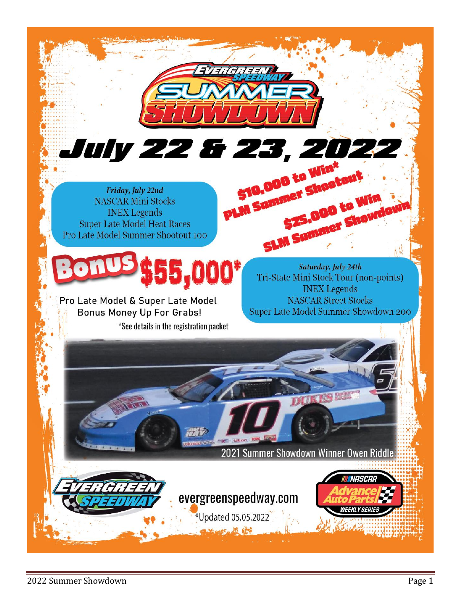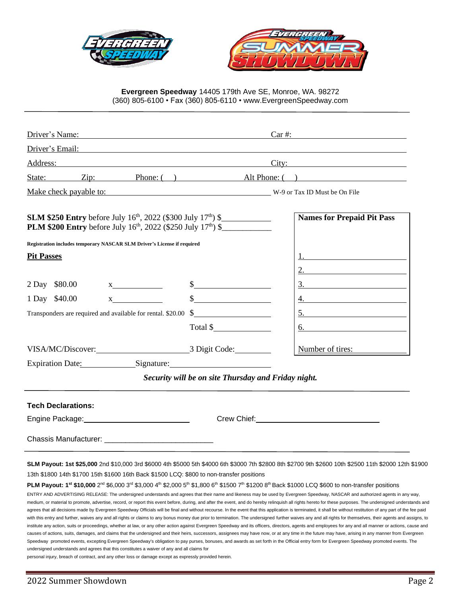



**Evergreen Speedway** 14405 179th Ave SE, Monroe, WA. 98272 (360) 805-6100 • Fax (360) 805-6110 • www.EvergreenSpeedway.com

| Driver's Name:                                                                                                                                                                                                                                                                                                                                                                                                                                                                                                                                                                                                                                                                                                                                                                                                                                                                                                                                                                                                                                                                                                     |                                                     | $Car \#:\n\n\begin{array}{c}\n\text{array} \\ \text{array} \\ \text{array} \\ \text{array} \\ \text{array} \\ \text{array} \\ \text{array} \\ \text{array} \\ \text{array} \\ \text{array} \\ \text{array} \\ \text{array} \\ \text{array} \\ \text{array} \\ \text{array} \\ \text{array} \\ \text{array} \\ \text{limits} \\ \text{limits} \\ \text{limits} \\ \text{limits} \\ \text{limits} \\ \text{limits} \\ \text{limits} \\ \text{limits} \\ \text{limits} \\ \text{limits} \\ \text{limits} \\ \text{limits} \\ \text{limits} \\ \text{limits} \\ \text{limits} \\ \text{limits} \\ \text{limits} \\ $ |
|--------------------------------------------------------------------------------------------------------------------------------------------------------------------------------------------------------------------------------------------------------------------------------------------------------------------------------------------------------------------------------------------------------------------------------------------------------------------------------------------------------------------------------------------------------------------------------------------------------------------------------------------------------------------------------------------------------------------------------------------------------------------------------------------------------------------------------------------------------------------------------------------------------------------------------------------------------------------------------------------------------------------------------------------------------------------------------------------------------------------|-----------------------------------------------------|------------------------------------------------------------------------------------------------------------------------------------------------------------------------------------------------------------------------------------------------------------------------------------------------------------------------------------------------------------------------------------------------------------------------------------------------------------------------------------------------------------------------------------------------------------------------------------------------------------------|
| Driver's Email: <u>Driverse and the set of the set of the set of the set of the set of the set of the set of the set of the set of the set of the set of the set of the set of the set of the set of the set of the set of the s</u>                                                                                                                                                                                                                                                                                                                                                                                                                                                                                                                                                                                                                                                                                                                                                                                                                                                                               |                                                     |                                                                                                                                                                                                                                                                                                                                                                                                                                                                                                                                                                                                                  |
| Address:<br><u> 1989 - Andrea Station Barbara, amerikan personal (h. 1989).</u>                                                                                                                                                                                                                                                                                                                                                                                                                                                                                                                                                                                                                                                                                                                                                                                                                                                                                                                                                                                                                                    |                                                     | City:                                                                                                                                                                                                                                                                                                                                                                                                                                                                                                                                                                                                            |
| State: Zip: Phone: () Alt Phone: ()                                                                                                                                                                                                                                                                                                                                                                                                                                                                                                                                                                                                                                                                                                                                                                                                                                                                                                                                                                                                                                                                                |                                                     |                                                                                                                                                                                                                                                                                                                                                                                                                                                                                                                                                                                                                  |
| Make check payable to: W-9 or Tax ID Must be On File                                                                                                                                                                                                                                                                                                                                                                                                                                                                                                                                                                                                                                                                                                                                                                                                                                                                                                                                                                                                                                                               |                                                     |                                                                                                                                                                                                                                                                                                                                                                                                                                                                                                                                                                                                                  |
| <b>SLM \$250 Entry</b> before July 16 <sup>th</sup> , 2022 (\$300 July 17 <sup>th</sup> ) \$<br><b>PLM \$200 Entry</b> before July 16 <sup>th</sup> , 2022 (\$250 July 17 <sup>th</sup> ) \$                                                                                                                                                                                                                                                                                                                                                                                                                                                                                                                                                                                                                                                                                                                                                                                                                                                                                                                       |                                                     | <b>Names for Prepaid Pit Pass</b>                                                                                                                                                                                                                                                                                                                                                                                                                                                                                                                                                                                |
| Registration includes temporary NASCAR SLM Driver's License if required                                                                                                                                                                                                                                                                                                                                                                                                                                                                                                                                                                                                                                                                                                                                                                                                                                                                                                                                                                                                                                            |                                                     |                                                                                                                                                                                                                                                                                                                                                                                                                                                                                                                                                                                                                  |
| <b>Pit Passes</b>                                                                                                                                                                                                                                                                                                                                                                                                                                                                                                                                                                                                                                                                                                                                                                                                                                                                                                                                                                                                                                                                                                  |                                                     |                                                                                                                                                                                                                                                                                                                                                                                                                                                                                                                                                                                                                  |
|                                                                                                                                                                                                                                                                                                                                                                                                                                                                                                                                                                                                                                                                                                                                                                                                                                                                                                                                                                                                                                                                                                                    |                                                     |                                                                                                                                                                                                                                                                                                                                                                                                                                                                                                                                                                                                                  |
| 2 Day \$80.00<br>$X$ and $X$                                                                                                                                                                                                                                                                                                                                                                                                                                                                                                                                                                                                                                                                                                                                                                                                                                                                                                                                                                                                                                                                                       | $\frac{1}{2}$                                       | $\frac{3}{2}$                                                                                                                                                                                                                                                                                                                                                                                                                                                                                                                                                                                                    |
| 1 Day \$40.00<br>$\mathbf X$                                                                                                                                                                                                                                                                                                                                                                                                                                                                                                                                                                                                                                                                                                                                                                                                                                                                                                                                                                                                                                                                                       | $\frac{1}{2}$                                       |                                                                                                                                                                                                                                                                                                                                                                                                                                                                                                                                                                                                                  |
| Transponders are required and available for rental. \$20.00 \$                                                                                                                                                                                                                                                                                                                                                                                                                                                                                                                                                                                                                                                                                                                                                                                                                                                                                                                                                                                                                                                     |                                                     |                                                                                                                                                                                                                                                                                                                                                                                                                                                                                                                                                                                                                  |
|                                                                                                                                                                                                                                                                                                                                                                                                                                                                                                                                                                                                                                                                                                                                                                                                                                                                                                                                                                                                                                                                                                                    | Total \$                                            | 6.                                                                                                                                                                                                                                                                                                                                                                                                                                                                                                                                                                                                               |
|                                                                                                                                                                                                                                                                                                                                                                                                                                                                                                                                                                                                                                                                                                                                                                                                                                                                                                                                                                                                                                                                                                                    |                                                     | Number of tires:                                                                                                                                                                                                                                                                                                                                                                                                                                                                                                                                                                                                 |
| Expiration Date: Signature: Signature:                                                                                                                                                                                                                                                                                                                                                                                                                                                                                                                                                                                                                                                                                                                                                                                                                                                                                                                                                                                                                                                                             |                                                     |                                                                                                                                                                                                                                                                                                                                                                                                                                                                                                                                                                                                                  |
|                                                                                                                                                                                                                                                                                                                                                                                                                                                                                                                                                                                                                                                                                                                                                                                                                                                                                                                                                                                                                                                                                                                    | Security will be on site Thursday and Friday night. |                                                                                                                                                                                                                                                                                                                                                                                                                                                                                                                                                                                                                  |
| <b>Tech Declarations:</b>                                                                                                                                                                                                                                                                                                                                                                                                                                                                                                                                                                                                                                                                                                                                                                                                                                                                                                                                                                                                                                                                                          |                                                     |                                                                                                                                                                                                                                                                                                                                                                                                                                                                                                                                                                                                                  |
| Engine Package: Manager School and Manager School and Manager School and Manager School and Manager School and                                                                                                                                                                                                                                                                                                                                                                                                                                                                                                                                                                                                                                                                                                                                                                                                                                                                                                                                                                                                     |                                                     |                                                                                                                                                                                                                                                                                                                                                                                                                                                                                                                                                                                                                  |
|                                                                                                                                                                                                                                                                                                                                                                                                                                                                                                                                                                                                                                                                                                                                                                                                                                                                                                                                                                                                                                                                                                                    |                                                     |                                                                                                                                                                                                                                                                                                                                                                                                                                                                                                                                                                                                                  |
| SLM Payout: 1st \$25,000 2nd \$10,000 3rd \$6000 4th \$5000 5th \$4000 6th \$3000 7th \$2800 8th \$2700 9th \$2600 10th \$2500 11th \$2000 12th \$1900<br>13th \$1800 14th \$1700 15th \$1600 16th Back \$1500 LCQ: \$800 to non-transfer positions<br>PLM Payout: 1st \$10,000 2 <sup>nd</sup> \$6,000 3 <sup>rd</sup> \$3,000 4 <sup>th</sup> \$2,000 5 <sup>th</sup> \$1,800 6 <sup>th</sup> \$1500 7 <sup>th</sup> \$1200 8 <sup>th</sup> Back \$1000 LCQ \$600 to non-transfer positions<br>ENTRY AND ADVERTISING RELEASE: The undersigned understands and agrees that their name and likeness may be used by Evergreen Speedway, NASCAR and authorized agents in any way,<br>medium, or material to promote, advertise, record, or report this event before, during, and after the event, and do hereby relinguish all rights hereto for these purposes. The undersigned understands and<br>agrees that all decisions made by Evergreen Speedway Officials will be final and without recourse. In the event that this application is terminated, it shall be without restitution of any part of the fee paid |                                                     |                                                                                                                                                                                                                                                                                                                                                                                                                                                                                                                                                                                                                  |
| with this entry and further, waives any and all rights or claims to any bonus money due prior to termination. The undersigned further waives any and all rights for themselves, their agents and assigns, to<br>institute any action, suits or proceedings, whether at law, or any other action against Evergreen Speedway and its officers, directors, agents and employees for any and all manner or actions, cause and<br>causes of actions, suits, damages, and claims that the undersigned and their heirs, successors, assignees may have now, or at any time in the future may have, arising in any manner from Evergreen                                                                                                                                                                                                                                                                                                                                                                                                                                                                                   |                                                     |                                                                                                                                                                                                                                                                                                                                                                                                                                                                                                                                                                                                                  |

Speedway promoted events, excepting Evergreen Speedway's obligation to pay purses, bonuses, and awards as set forth in the Official entry form for Evergreen Speedway promoted events. The undersigned understands and agrees that this constitutes a waiver of any and all claims for

personal injury, breach of contract, and any other loss or damage except as expressly provided herein.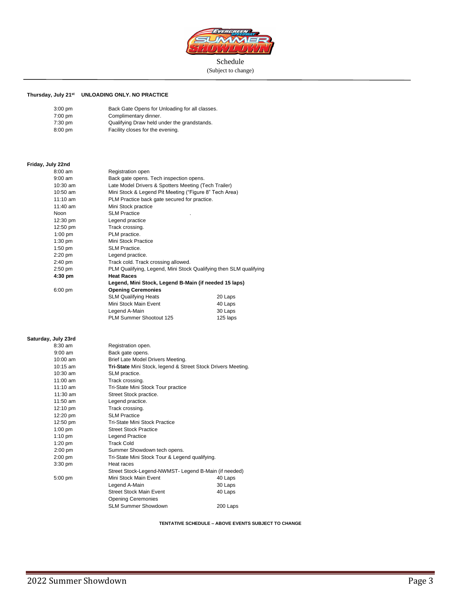

(Subject to change)

#### **Thursday, July 21 st UNLOADING ONLY. NO PRACTICE**

| $3:00$ pm         | Back Gate Opens for Unloading for all classes. |
|-------------------|------------------------------------------------|
| $7:00$ pm         | Complimentary dinner.                          |
| $7:30 \text{ pm}$ | Qualifying Draw held under the grandstands.    |
| $8:00$ pm         | Facility closes for the evening.               |

# **Friday, July 22nd**

| $8:00$ am                        | Registration open                                                 |          |
|----------------------------------|-------------------------------------------------------------------|----------|
| $9:00$ am                        | Back gate opens. Tech inspection opens.                           |          |
| 10:30 am                         | Late Model Drivers & Spotters Meeting (Tech Trailer)              |          |
| $10:50$ am                       | Mini Stock & Legend Pit Meeting ("Figure 8" Tech Area)            |          |
| $11:10$ am                       | PLM Practice back gate secured for practice.                      |          |
| 11:40 am                         | Mini Stock practice                                               |          |
| Noon                             | <b>SLM Practice</b>                                               |          |
| 12:30 pm                         | Legend practice                                                   |          |
| 12:50 pm                         | Track crossing.                                                   |          |
| $1:00$ pm                        | PLM practice.                                                     |          |
| $1:30$ pm                        | Mini Stock Practice                                               |          |
| 1:50 pm                          | <b>SLM Practice.</b>                                              |          |
| $2:20$ pm                        | Legend practice.                                                  |          |
| $2:40 \text{ pm}$                | Track cold. Track crossing allowed.                               |          |
| $2:50$ pm                        | PLM Qualifying, Legend, Mini Stock Qualifying then SLM qualifying |          |
| $4:30$ pm                        | <b>Heat Races</b>                                                 |          |
|                                  | Legend, Mini Stock, Legend B-Main (if needed 15 laps)             |          |
| $6:00$ pm                        | <b>Opening Ceremonies</b>                                         |          |
|                                  | <b>SLM Qualifying Heats</b>                                       | 20 Laps  |
|                                  | Mini Stock Main Event                                             | 40 Laps  |
|                                  | Legend A-Main                                                     | 30 Laps  |
|                                  | PLM Summer Shootout 125                                           | 125 laps |
| Saturday, July 23rd<br>$8:30$ am | Registration open.                                                |          |
| $9:00$ am                        | Back gate opens.                                                  |          |
| 10:00 am                         | Brief Late Model Drivers Meeting.                                 |          |
| 10:15 am                         | Tri-State Mini Stock, legend & Street Stock Drivers Meeting.      |          |
| 10:30 am                         | SLM practice.                                                     |          |
| $11:00$ am                       | Track crossing.                                                   |          |
| $11:10$ am                       | Tri-State Mini Stock Tour practice                                |          |
| 11:30 am                         | Street Stock practice.                                            |          |
| 11:50 am                         | Legend practice.                                                  |          |
| 12:10 pm                         | Track crossing.                                                   |          |
| 12:20 pm                         | <b>SLM Practice</b>                                               |          |
| 12:50 pm                         | Tri-State Mini Stock Practice                                     |          |
| $1:00$ pm                        | <b>Street Stock Practice</b>                                      |          |
| $1:10 \text{ pm}$                | <b>Legend Practice</b>                                            |          |
| $1:20$ pm                        | <b>Track Cold</b>                                                 |          |
| $2:00$ pm                        | Summer Showdown tech opens.                                       |          |
| $2:00$ pm                        | Tri-State Mini Stock Tour & Legend qualifying.                    |          |
| 3:30 pm                          | Heat races                                                        |          |
|                                  | Street Stock-Legend-NWMST- Legend B-Main (if needed)              |          |
| 5:00 pm                          | Mini Stock Main Event                                             | 40 Laps  |
|                                  | Legend A-Main                                                     | 30 Laps  |
|                                  | <b>Street Stock Main Event</b>                                    | 40 Laps  |
|                                  | <b>Opening Ceremonies</b>                                         |          |
|                                  | SLM Summer Showdown                                               | 200 Laps |

**TENTATIVE SCHEDULE – ABOVE EVENTS SUBJECT TO CHANGE**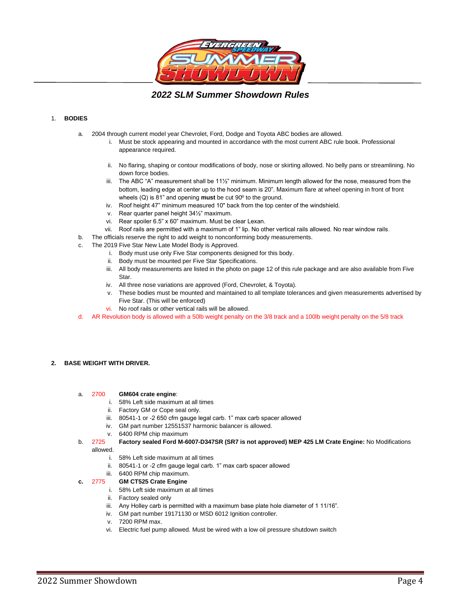

*2022 SLM Summer Showdown Rules*

## 1. **BODIES**

- a. 2004 through current model year Chevrolet, Ford, Dodge and Toyota ABC bodies are allowed.
	- i. Must be stock appearing and mounted in accordance with the most current ABC rule book. Professional appearance required.
	- ii. No flaring, shaping or contour modifications of body, nose or skirting allowed. No belly pans or streamlining. No down force bodies.
	- iii. The ABC "A" measurement shall be 11½" minimum. Minimum length allowed for the nose, measured from the bottom, leading edge at center up to the hood seam is 20". Maximum flare at wheel opening in front of front wheels (Q) is 81" and opening **must** be cut 90º to the ground.
	- iv. Roof height 47" minimum measured 10" back from the top center of the windshield.
	- v. Rear quarter panel height 34½" maximum.
	- vi. Rear spoiler 6.5" x 60" maximum. Must be clear Lexan.
	- vii. Roof rails are permitted with a maximum of 1" lip. No other vertical rails allowed. No rear window rails.
- b. The officials reserve the right to add weight to nonconforming body measurements.
- c. The 2019 Five Star New Late Model Body is Approved.
	- i. Body must use only Five Star components designed for this body.
	- ii. Body must be mounted per Five Star Specifications.
	- iii. All body measurements are listed in the photo on page 12 of this rule package and are also available from Five Star.
	- iv. All three nose variations are approved (Ford, Chevrolet, & Toyota).
	- v. These bodies must be mounted and maintained to all template tolerances and given measurements advertised by Five Star. (This will be enforced)
	- vi. No roof rails or other vertical rails will be allowed.
- d. AR Revolution body is allowed with a 50lb weight penalty on the 3/8 track and a 100lb weight penalty on the 5/8 track

### **2. BASE WEIGHT WITH DRIVER.**

## a. 2700 **GM604 crate engine**:

- i. 58% Left side maximum at all times
- ii. Factory GM or Cope seal only.
- iii. 80541-1 or -2 650 cfm gauge legal carb. 1" max carb spacer allowed
- iv. GM part number 12551537 harmonic balancer is allowed.
- v. 6400 RPM chip maximum
- b. 2725 **Factory sealed Ford M-6007-D347SR (SR7 is not approved) MEP 425 LM Crate Engine:** No Modifications allowed.
	- i. 58% Left side maximum at all times
	- ii. 80541-1 or -2 cfm gauge legal carb. 1" max carb spacer allowed
	-

## iii. 6400 RPM chip maximum.<br>2775 **GM CT525 Crate Engine c.** 2775 **GM CT525 Crate Engine**

- i. 58% Left side maximum at all times
- ii. Factory sealed only
- iii. Any Holley carb is permitted with a maximum base plate hole diameter of 1 11/16".
- iv. GM part number 19171130 or MSD 6012 Ignition controller.
- v. 7200 RPM max.
- vi. Electric fuel pump allowed. Must be wired with a low oil pressure shutdown switch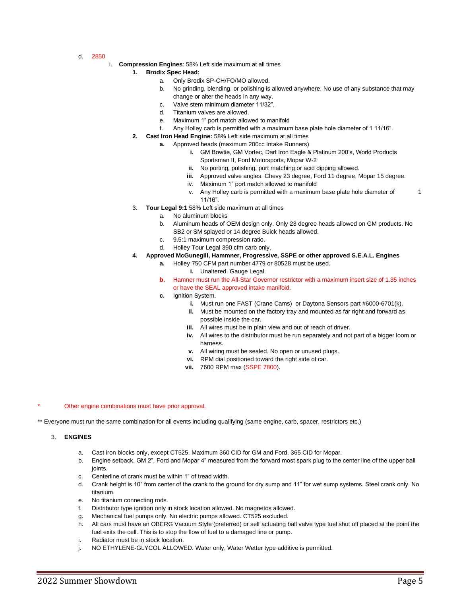- d. 2850
- i. **Compression Engines**: 58% Left side maximum at all times
	- **1. Brodix Spec Head:** 
		- a. Only Brodix SP-CH/FO/MO allowed.
		- b. No grinding, blending, or polishing is allowed anywhere. No use of any substance that may change or alter the heads in any way.
		- c. Valve stem minimum diameter 11/32".
		- d. Titanium valves are allowed.
		- e. Maximum 1" port match allowed to manifold
		- f. Any Holley carb is permitted with a maximum base plate hole diameter of 1 11/16".
	- **2. Cast Iron Head Engine:** 58% Left side maximum at all times
		- **a.** Approved heads (maximum 200cc Intake Runners)
			- **i.** GM Bowtie, GM Vortec, Dart Iron Eagle & Platinum 200's, World Products Sportsman II, Ford Motorsports, Mopar W-2
			- **ii.** No porting, polishing, port matching or acid dipping allowed.
			- **iii.** Approved valve angles. Chevy 23 degree, Ford 11 degree, Mopar 15 degree.
			- iv. Maximum 1" port match allowed to manifold
			- v. Any Holley carb is permitted with a maximum base plate hole diameter of 1 11/16".
	- 3. **Tour Legal 9:1** 58% Left side maximum at all times
		- a. No aluminum blocks
		- b. Aluminum heads of OEM design only. Only 23 degree heads allowed on GM products. No SB2 or SM splayed or 14 degree Buick heads allowed.
		- c. 9.5:1 maximum compression ratio.
		- d. Holley Tour Legal 390 cfm carb only.
	- **4. Approved McGunegill, Hammner, Progressive, SSPE or other approved S.E.A.L. Engines**
		- **a.** Holley 750 CFM part number 4779 or 80528 must be used. **i.** Unaltered. Gauge Legal.
		- **b.** Hamner must run the All-Star Governor restrictor with a maximum insert size of 1.35 inches or have the SEAL approved intake manifold.
		- **c.** Ignition System.
			- **i.** Must run one FAST (Crane Cams) or Daytona Sensors part #6000-6701(k).
			- **ii.** Must be mounted on the factory tray and mounted as far right and forward as possible inside the car.
			- **iii.** All wires must be in plain view and out of reach of driver.
			- **iv.** All wires to the distributor must be run separately and not part of a bigger loom or harness.
			- **v.** All wiring must be sealed. No open or unused plugs.
			- **vi.** RPM dial positioned toward the right side of car.
			- **vii.** 7600 RPM max (SSPE 7800).

### Other engine combinations must have prior approval.

\*\* Everyone must run the same combination for all events including qualifying (same engine, carb, spacer, restrictors etc.)

### 3. **ENGINES**

- a. Cast iron blocks only, except CT525. Maximum 360 CID for GM and Ford, 365 CID for Mopar.
- b. Engine setback. GM 2". Ford and Mopar 4" measured from the forward most spark plug to the center line of the upper ball joints.
- c. Centerline of crank must be within 1" of tread width.
- d. Crank height is 10" from center of the crank to the ground for dry sump and 11" for wet sump systems. Steel crank only. No titanium.
- e. No titanium connecting rods.
- f. Distributor type ignition only in stock location allowed. No magnetos allowed.
- g. Mechanical fuel pumps only. No electric pumps allowed. CT525 excluded.
- h. All cars must have an OBERG Vacuum Style (preferred) or self actuating ball valve type fuel shut off placed at the point the fuel exits the cell. This is to stop the flow of fuel to a damaged line or pump.
- i. Radiator must be in stock location.
- j. NO ETHYLENE-GLYCOL ALLOWED. Water only, Water Wetter type additive is permitted.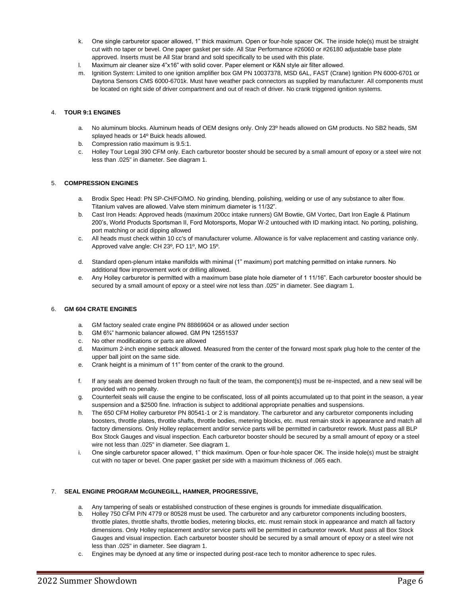- k. One single carburetor spacer allowed, 1" thick maximum. Open or four-hole spacer OK. The inside hole(s) must be straight cut with no taper or bevel. One paper gasket per side. All Star Performance #26060 or #26180 adjustable base plate approved. Inserts must be All Star brand and sold specifically to be used with this plate.
- l. Maximum air cleaner size 4"x16" with solid cover. Paper element or K&N style air filter allowed.
- m. Ignition System: Limited to one ignition amplifier box GM PN 10037378, MSD 6AL, FAST (Crane) Ignition PN 6000-6701 or Daytona Sensors CMS 6000-6701k. Must have weather pack connectors as supplied by manufacturer. All components must be located on right side of driver compartment and out of reach of driver. No crank triggered ignition systems.

## 4. **TOUR 9:1 ENGINES**

- a. No aluminum blocks. Aluminum heads of OEM designs only. Only 23º heads allowed on GM products. No SB2 heads, SM splayed heads or 14º Buick heads allowed.
- b. Compression ratio maximum is 9.5:1.
- c. Holley Tour Legal 390 CFM only. Each carburetor booster should be secured by a small amount of epoxy or a steel wire not less than .025" in diameter. See diagram 1.

## 5. **COMPRESSION ENGINES**

- a. Brodix Spec Head: PN SP-CH/FO/MO. No grinding, blending, polishing, welding or use of any substance to alter flow. Titanium valves are allowed. Valve stem minimum diameter is 11/32".
- b. Cast Iron Heads: Approved heads (maximum 200cc intake runners) GM Bowtie, GM Vortec, Dart Iron Eagle & Platinum 200's, World Products Sportsman II, Ford Motorsports, Mopar W-2 untouched with ID marking intact. No porting, polishing, port matching or acid dipping allowed
- c. All heads must check within 10 cc's of manufacturer volume. Allowance is for valve replacement and casting variance only. Approved valve angle: CH 23º, FO 11º, MO 15º.
- d. Standard open-plenum intake manifolds with minimal (1" maximum) port matching permitted on intake runners. No additional flow improvement work or drilling allowed.
- e. Any Holley carburetor is permitted with a maximum base plate hole diameter of 1 11/16". Each carburetor booster should be secured by a small amount of epoxy or a steel wire not less than .025" in diameter. See diagram 1.

### 6. **GM 604 CRATE ENGINES**

- a. GM factory sealed crate engine PN 88869604 or as allowed under section
- b. GM 6¾" harmonic balancer allowed. GM PN 12551537
- c. No other modifications or parts are allowed
- d. Maximum 2-inch engine setback allowed. Measured from the center of the forward most spark plug hole to the center of the upper ball joint on the same side.
- e. Crank height is a minimum of 11" from center of the crank to the ground.
- f. If any seals are deemed broken through no fault of the team, the component(s) must be re-inspected, and a new seal will be provided with no penalty.
- g. Counterfeit seals will cause the engine to be confiscated, loss of all points accumulated up to that point in the season, a year suspension and a \$2500 fine. Infraction is subject to additional appropriate penalties and suspensions.
- h. The 650 CFM Holley carburetor PN 80541-1 or 2 is mandatory. The carburetor and any carburetor components including boosters, throttle plates, throttle shafts, throttle bodies, metering blocks, etc. must remain stock in appearance and match all factory dimensions. Only Holley replacement and/or service parts will be permitted in carburetor rework. Must pass all BLP Box Stock Gauges and visual inspection. Each carburetor booster should be secured by a small amount of epoxy or a steel wire not less than .025" in diameter. See diagram 1.
- i. One single carburetor spacer allowed, 1" thick maximum. Open or four-hole spacer OK. The inside hole(s) must be straight cut with no taper or bevel. One paper gasket per side with a maximum thickness of .065 each.

### 7. **SEAL ENGINE PROGRAM McGUNEGILL, HAMNER, PROGRESSIVE,**

- a. Any tampering of seals or established construction of these engines is grounds for immediate disqualification.
- b. Holley 750 CFM P/N 4779 or 80528 must be used. The carburetor and any carburetor components including boosters, throttle plates, throttle shafts, throttle bodies, metering blocks, etc. must remain stock in appearance and match all factory dimensions. Only Holley replacement and/or service parts will be permitted in carburetor rework. Must pass all Box Stock Gauges and visual inspection. Each carburetor booster should be secured by a small amount of epoxy or a steel wire not less than .025" in diameter. See diagram 1.
- c. Engines may be dynoed at any time or inspected during post-race tech to monitor adherence to spec rules.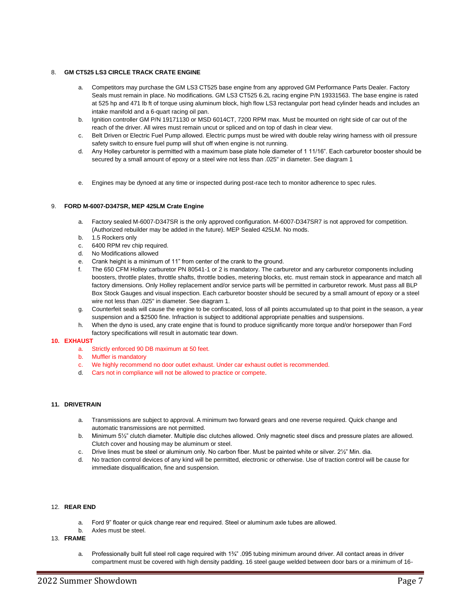## 8. **GM CT525 LS3 CIRCLE TRACK CRATE ENGINE**

- a. Competitors may purchase the GM LS3 CT525 base engine from any approved GM Performance Parts Dealer. Factory Seals must remain in place. No modifications. GM LS3 CT525 6.2L racing engine P/N 19331563. The base engine is rated at 525 hp and 471 lb ft of torque using aluminum block, high flow LS3 rectangular port head cylinder heads and includes an intake manifold and a 6-quart racing oil pan.
- b. Ignition controller GM P/N 19171130 or MSD 6014CT, 7200 RPM max. Must be mounted on right side of car out of the reach of the driver. All wires must remain uncut or spliced and on top of dash in clear view.
- c. Belt Driven or Electric Fuel Pump allowed. Electric pumps must be wired with double relay wiring harness with oil pressure safety switch to ensure fuel pump will shut off when engine is not running.
- d. Any Holley carburetor is permitted with a maximum base plate hole diameter of 1 11/16". Each carburetor booster should be secured by a small amount of epoxy or a steel wire not less than .025" in diameter. See diagram 1
- e. Engines may be dynoed at any time or inspected during post-race tech to monitor adherence to spec rules.

### 9. **FORD M-6007-D347SR, MEP 425LM Crate Engine**

- a. Factory sealed M-6007-D347SR is the only approved configuration. M-6007-D347SR7 is not approved for competition. (Authorized rebuilder may be added in the future). MEP Sealed 425LM. No mods.
- b. 1.5 Rockers only
- c. 6400 RPM rev chip required.
- d. No Modifications allowed
- e. Crank height is a minimum of 11" from center of the crank to the ground.
- f. The 650 CFM Holley carburetor PN 80541-1 or 2 is mandatory. The carburetor and any carburetor components including boosters, throttle plates, throttle shafts, throttle bodies, metering blocks, etc. must remain stock in appearance and match all factory dimensions. Only Holley replacement and/or service parts will be permitted in carburetor rework. Must pass all BLP Box Stock Gauges and visual inspection. Each carburetor booster should be secured by a small amount of epoxy or a steel wire not less than .025" in diameter. See diagram 1.
- g. Counterfeit seals will cause the engine to be confiscated, loss of all points accumulated up to that point in the season, a year suspension and a \$2500 fine. Infraction is subject to additional appropriate penalties and suspensions.
- h. When the dyno is used, any crate engine that is found to produce significantly more torque and/or horsepower than Ford factory specifications will result in automatic tear down.

### **10. EXHAUST**

- a. Strictly enforced 90 DB maximum at 50 feet.
- b. Muffler is mandatory
- c. We highly recommend no door outlet exhaust. Under car exhaust outlet is recommended.
- d. Cars not in compliance will not be allowed to practice or compete.

## **11. DRIVETRAIN**

- a. Transmissions are subject to approval. A minimum two forward gears and one reverse required. Quick change and automatic transmissions are not permitted.
- b. Minimum 5½" clutch diameter. Multiple disc clutches allowed. Only magnetic steel discs and pressure plates are allowed. Clutch cover and housing may be aluminum or steel.
- c. Drive lines must be steel or aluminum only. No carbon fiber. Must be painted white or silver. 2½" Min. dia.
- d. No traction control devices of any kind will be permitted, electronic or otherwise. Use of traction control will be cause for immediate disqualification, fine and suspension.

## 12. **REAR END**

- a. Ford 9" floater or quick change rear end required. Steel or aluminum axle tubes are allowed.
- b. Axles must be steel.
- 13. **FRAME** 
	- a. Professionally built full steel roll cage required with  $1\frac{3}{4}$ ". 095 tubing minimum around driver. All contact areas in driver compartment must be covered with high density padding. 16 steel gauge welded between door bars or a minimum of 16-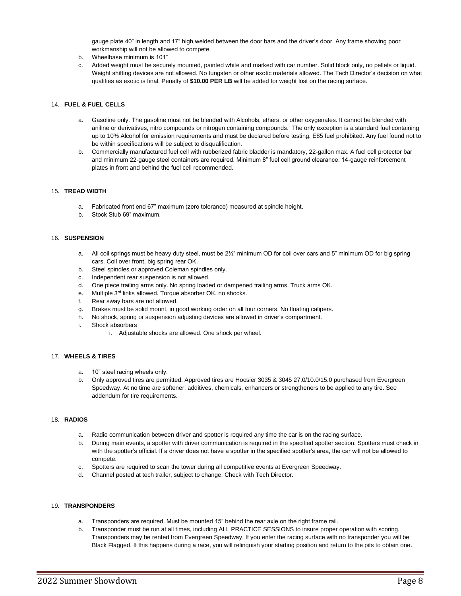gauge plate 40" in length and 17" high welded between the door bars and the driver's door. Any frame showing poor workmanship will not be allowed to compete.

- b. Wheelbase minimum is 101"
- c. Added weight must be securely mounted, painted white and marked with car number. Solid block only, no pellets or liquid. Weight shifting devices are not allowed. No tungsten or other exotic materials allowed. The Tech Director's decision on what qualifies as exotic is final. Penalty of **\$10.00 PER LB** will be added for weight lost on the racing surface.

## 14. **FUEL & FUEL CELLS**

- a. Gasoline only. The gasoline must not be blended with Alcohols, ethers, or other oxygenates. It cannot be blended with aniline or derivatives, nitro compounds or nitrogen containing compounds. The only exception is a standard fuel containing up to 10% Alcohol for emission requirements and must be declared before testing. E85 fuel prohibited. Any fuel found not to be within specifications will be subject to disqualification.
- b. Commercially manufactured fuel cell with rubberized fabric bladder is mandatory, 22-gallon max. A fuel cell protector bar and minimum 22-gauge steel containers are required. Minimum 8" fuel cell ground clearance. 14-gauge reinforcement plates in front and behind the fuel cell recommended.

### 15. **TREAD WIDTH**

- a. Fabricated front end 67" maximum (zero tolerance) measured at spindle height.
- b. Stock Stub 69" maximum.

### 16. **SUSPENSION**

- a. All coil springs must be heavy duty steel, must be 2½" minimum OD for coil over cars and 5" minimum OD for big spring cars. Coil over front, big spring rear OK.
- b. Steel spindles or approved Coleman spindles only.
- c. Independent rear suspension is not allowed.
- d. One piece trailing arms only. No spring loaded or dampened trailing arms. Truck arms OK.
- e. Multiple 3<sup>rd</sup> links allowed. Torque absorber OK, no shocks.
- f. Rear sway bars are not allowed.
- g. Brakes must be solid mount, in good working order on all four corners. No floating calipers.
- h. No shock, spring or suspension adjusting devices are allowed in driver's compartment.
- i. Shock absorbers
	- i. Adjustable shocks are allowed. One shock per wheel.

## 17. **WHEELS & TIRES**

- a. 10" steel racing wheels only.
- b. Only approved tires are permitted. Approved tires are Hoosier 3035 & 3045 27.0/10.0/15.0 purchased from Evergreen Speedway. At no time are softener, additives, chemicals, enhancers or strengtheners to be applied to any tire. See addendum for tire requirements.

### 18. **RADIOS**

- a. Radio communication between driver and spotter is required any time the car is on the racing surface.
- b. During main events, a spotter with driver communication is required in the specified spotter section. Spotters must check in with the spotter's official. If a driver does not have a spotter in the specified spotter's area, the car will not be allowed to compete.
- c. Spotters are required to scan the tower during all competitive events at Evergreen Speedway.
- d. Channel posted at tech trailer, subject to change. Check with Tech Director.

## 19. **TRANSPONDERS**

- a. Transponders are required. Must be mounted 15" behind the rear axle on the right frame rail.
- b. Transponder must be run at all times, including ALL PRACTICE SESSIONS to insure proper operation with scoring. Transponders may be rented from Evergreen Speedway. If you enter the racing surface with no transponder you will be Black Flagged. If this happens during a race, you will relinquish your starting position and return to the pits to obtain one.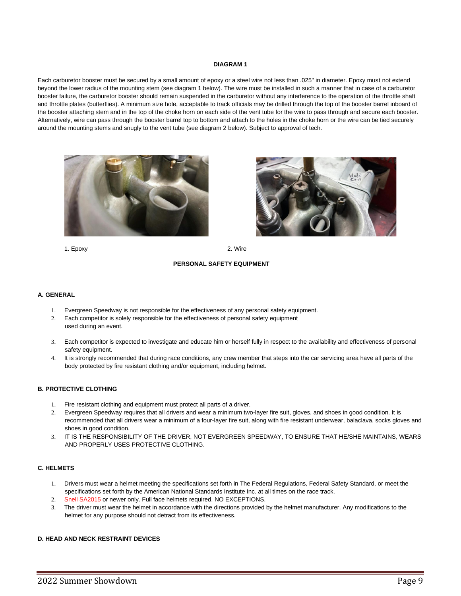### **DIAGRAM 1**

Each carburetor booster must be secured by a small amount of epoxy or a steel wire not less than .025" in diameter. Epoxy must not extend beyond the lower radius of the mounting stem (see diagram 1 below). The wire must be installed in such a manner that in case of a carburetor booster failure, the carburetor booster should remain suspended in the carburetor without any interference to the operation of the throttle shaft and throttle plates (butterflies). A minimum size hole, acceptable to track officials may be drilled through the top of the booster barrel inboard of the booster attaching stem and in the top of the choke horn on each side of the vent tube for the wire to pass through and secure each booster. Alternatively, wire can pass through the booster barrel top to bottom and attach to the holes in the choke horn or the wire can be tied securely around the mounting stems and snugly to the vent tube (see diagram 2 below). Subject to approval of tech.



1. Epoxy 2. Wire

### **PERSONAL SAFETY EQUIPMENT**

### **A. GENERAL**

- 1. Evergreen Speedway is not responsible for the effectiveness of any personal safety equipment.
- 2. Each competitor is solely responsible for the effectiveness of personal safety equipment used during an event.
- 3. Each competitor is expected to investigate and educate him or herself fully in respect to the availability and effectiveness of personal safety equipment.
- 4. It is strongly recommended that during race conditions, any crew member that steps into the car servicing area have all parts of the body protected by fire resistant clothing and/or equipment, including helmet.

## **B. PROTECTIVE CLOTHING**

- 1. Fire resistant clothing and equipment must protect all parts of a driver.
- 2. Evergreen Speedway requires that all drivers and wear a minimum two-layer fire suit, gloves, and shoes in good condition. It is recommended that all drivers wear a minimum of a four-layer fire suit, along with fire resistant underwear, balaclava, socks gloves and shoes in good condition.
- 3. IT IS THE RESPONSIBILITY OF THE DRIVER, NOT EVERGREEN SPEEDWAY, TO ENSURE THAT HE/SHE MAINTAINS, WEARS AND PROPERLY USES PROTECTIVE CLOTHING.

## **C. HELMETS**

- 1. Drivers must wear a helmet meeting the specifications set forth in The Federal Regulations, Federal Safety Standard, or meet the specifications set forth by the American National Standards Institute Inc. at all times on the race track.
- 2. Snell SA2015 or newer only. Full face helmets required. NO EXCEPTIONS.
- 3. The driver must wear the helmet in accordance with the directions provided by the helmet manufacturer. Any modifications to the helmet for any purpose should not detract from its effectiveness.

### **D. HEAD AND NECK RESTRAINT DEVICES**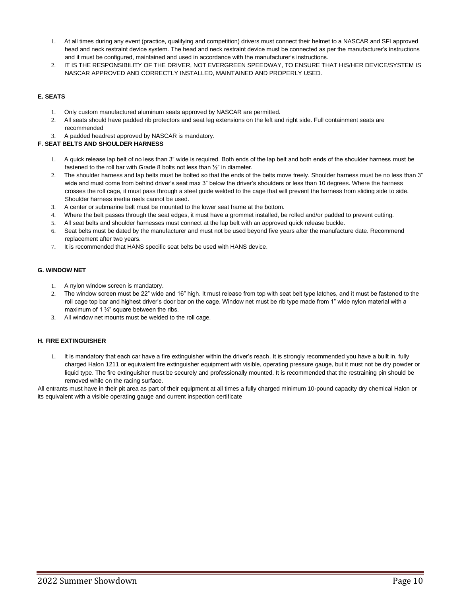- 1. At all times during any event (practice, qualifying and competition) drivers must connect their helmet to a NASCAR and SFI approved head and neck restraint device system. The head and neck restraint device must be connected as per the manufacturer's instructions and it must be configured, maintained and used in accordance with the manufacturer's instructions.
- 2. IT IS THE RESPONSIBILITY OF THE DRIVER, NOT EVERGREEN SPEEDWAY, TO ENSURE THAT HIS/HER DEVICE/SYSTEM IS NASCAR APPROVED AND CORRECTLY INSTALLED, MAINTAINED AND PROPERLY USED.

## **E. SEATS**

- 1. Only custom manufactured aluminum seats approved by NASCAR are permitted.
- 2. All seats should have padded rib protectors and seat leg extensions on the left and right side. Full containment seats are recommended
- 3. A padded headrest approved by NASCAR is mandatory.

## **F. SEAT BELTS AND SHOULDER HARNESS**

- 1. A quick release lap belt of no less than 3" wide is required. Both ends of the lap belt and both ends of the shoulder harness must be fastened to the roll bar with Grade 8 bolts not less than ½" in diameter.
- 2. The shoulder harness and lap belts must be bolted so that the ends of the belts move freely. Shoulder harness must be no less than 3" wide and must come from behind driver's seat max 3" below the driver's shoulders or less than 10 degrees. Where the harness crosses the roll cage, it must pass through a steel guide welded to the cage that will prevent the harness from sliding side to side. Shoulder harness inertia reels cannot be used.
- 3. A center or submarine belt must be mounted to the lower seat frame at the bottom.
- 4. Where the belt passes through the seat edges, it must have a grommet installed, be rolled and/or padded to prevent cutting.
- 5. All seat belts and shoulder harnesses must connect at the lap belt with an approved quick release buckle.
- 6. Seat belts must be dated by the manufacturer and must not be used beyond five years after the manufacture date. Recommend replacement after two years.
- 7. It is recommended that HANS specific seat belts be used with HANS device.

## **G. WINDOW NET**

- 1. A nylon window screen is mandatory.
- 2. The window screen must be 22" wide and 16" high. It must release from top with seat belt type latches, and it must be fastened to the roll cage top bar and highest driver's door bar on the cage. Window net must be rib type made from 1" wide nylon material with a maximum of 1 $\frac{3}{4}$ " square between the ribs.
- 3. All window net mounts must be welded to the roll cage.

## **H. FIRE EXTINGUISHER**

1. It is mandatory that each car have a fire extinguisher within the driver's reach. It is strongly recommended you have a built in, fully charged Halon 1211 or equivalent fire extinguisher equipment with visible, operating pressure gauge, but it must not be dry powder or liquid type. The fire extinguisher must be securely and professionally mounted. It is recommended that the restraining pin should be removed while on the racing surface.

All entrants must have in their pit area as part of their equipment at all times a fully charged minimum 10-pound capacity dry chemical Halon or its equivalent with a visible operating gauge and current inspection certificate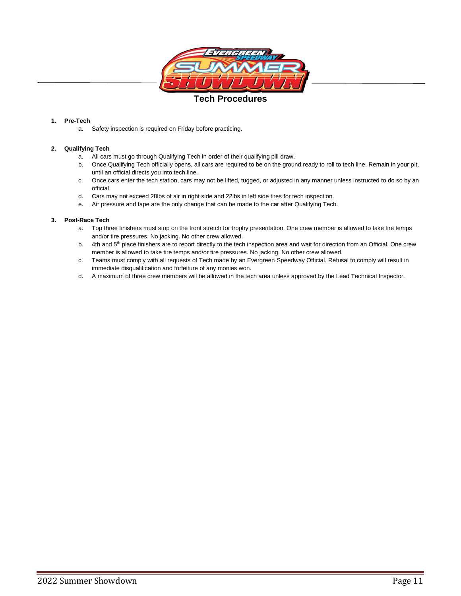

## **Tech Procedures**

## **1. Pre-Tech**

a. Safety inspection is required on Friday before practicing.

## **2. Qualifying Tech**

- a. All cars must go through Qualifying Tech in order of their qualifying pill draw.
- b. Once Qualifying Tech officially opens, all cars are required to be on the ground ready to roll to tech line. Remain in your pit, until an official directs you into tech line.
- c. Once cars enter the tech station, cars may not be lifted, tugged, or adjusted in any manner unless instructed to do so by an official.
- d. Cars may not exceed 28lbs of air in right side and 22lbs in left side tires for tech inspection.
- e. Air pressure and tape are the only change that can be made to the car after Qualifying Tech.

## **3. Post-Race Tech**

- a. Top three finishers must stop on the front stretch for trophy presentation. One crew member is allowed to take tire temps and/or tire pressures. No jacking. No other crew allowed.
- b. 4th and 5<sup>th</sup> place finishers are to report directly to the tech inspection area and wait for direction from an Official. One crew member is allowed to take tire temps and/or tire pressures. No jacking. No other crew allowed.
- c. Teams must comply with all requests of Tech made by an Evergreen Speedway Official. Refusal to comply will result in immediate disqualification and forfeiture of any monies won.
- d. A maximum of three crew members will be allowed in the tech area unless approved by the Lead Technical Inspector.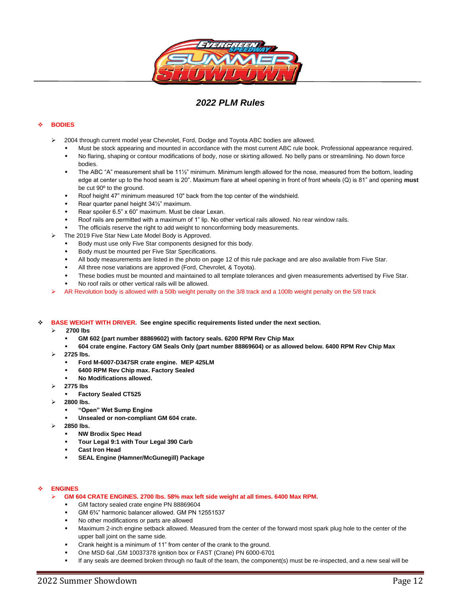

## *2022 PLM Rules*

## ❖ **BODIES**

- ➢ 2004 through current model year Chevrolet, Ford, Dodge and Toyota ABC bodies are allowed.
	- Must be stock appearing and mounted in accordance with the most current ABC rule book. Professional appearance required.
	- No flaring, shaping or contour modifications of body, nose or skirting allowed. No belly pans or streamlining. No down force bodies.
	- The ABC "A" measurement shall be 11<sup>1/2"</sup> minimum. Minimum length allowed for the nose, measured from the bottom, leading edge at center up to the hood seam is 20". Maximum flare at wheel opening in front of front wheels (Q) is 81" and opening **must** be cut 90º to the ground.
	- Roof height 47" minimum measured 10" back from the top center of the windshield.
	- Rear quarter panel height 34½" maximum.
	- Rear spoiler 6.5" x 60" maximum. Must be clear Lexan.
	- Roof rails are permitted with a maximum of 1" lip. No other vertical rails allowed. No rear window rails.
	- The officials reserve the right to add weight to nonconforming body measurements.
- ➢ The 2019 Five Star New Late Model Body is Approved.
	- Body must use only Five Star components designed for this body.
	- Body must be mounted per Five Star Specifications.
	- All body measurements are listed in the photo on page 12 of this rule package and are also available from Five Star.
	- All three nose variations are approved (Ford, Chevrolet, & Toyota).
	- These bodies must be mounted and maintained to all template tolerances and given measurements advertised by Five Star.
	- No roof rails or other vertical rails will be allowed.
- $\triangleright$  AR Revolution body is allowed with a 50lb weight penalty on the 3/8 track and a 100lb weight penalty on the 5/8 track

### ❖ **BASE WEIGHT WITH DRIVER. See engine specific requirements listed under the next section.**

- ➢ **2700 lbs** 
	- GM 602 (part number 88869602) with factory seals. 6200 RPM Rev Chip Max
	- **604 crate engine. Factory GM Seals Only (part number 88869604) or as allowed below. 6400 RPM Rev Chip Max**
- ➢ **2725 lbs.** 
	- **Ford M-6007-D347SR crate engine. MEP 425LM**
	- **6400 RPM Rev Chip max. Factory Sealed**
	- **No Modifications allowed.**
- ➢ **2775 lbs**
	- **Factory Sealed CT525**
- ➢ **2800 lbs.** 
	- **"Open" Wet Sump Engine**
	- **Unsealed or non-compliant GM 604 crate.**
- ➢ **2850 lbs.**
	- **NW Brodix Spec Head**
	- Tour Legal 9:1 with Tour Legal 390 Carb
	- **Cast Iron Head**
	- **SEAL Engine (Hamner/McGunegill) Package**

## ❖ **ENGINES**

- ➢ **GM 604 CRATE ENGINES. 2700 lbs. 58% max left side weight at all times. 6400 Max RPM.**
	- GM factory sealed crate engine PN 88869604
	- GM 6<sup>3</sup>/4" harmonic balancer allowed. GM PN 12551537
	- No other modifications or parts are allowed
	- Maximum 2-inch engine setback allowed. Measured from the center of the forward most spark plug hole to the center of the upper ball joint on the same side.
	- Crank height is a minimum of 11" from center of the crank to the ground.
	- One MSD 6al ,GM 10037378 ignition box or FAST (Crane) PN 6000-6701
	- If any seals are deemed broken through no fault of the team, the component(s) must be re-inspected, and a new seal will be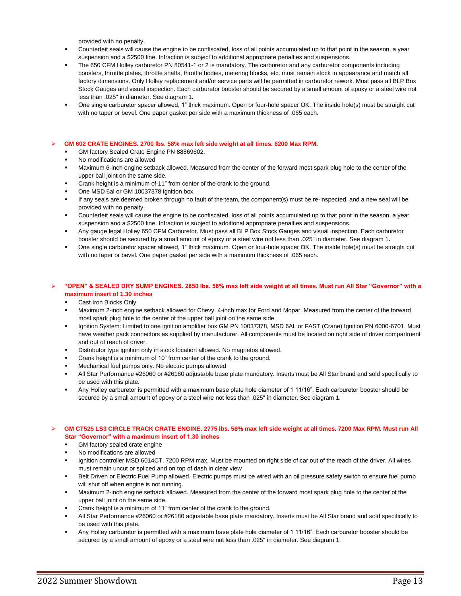provided with no penalty.

- Counterfeit seals will cause the engine to be confiscated, loss of all points accumulated up to that point in the season, a year suspension and a \$2500 fine. Infraction is subject to additional appropriate penalties and suspensions.
- The 650 CFM Holley carburetor PN 80541-1 or 2 is mandatory. The carburetor and any carburetor components including boosters, throttle plates, throttle shafts, throttle bodies, metering blocks, etc. must remain stock in appearance and match all factory dimensions. Only Holley replacement and/or service parts will be permitted in carburetor rework. Must pass all BLP Box Stock Gauges and visual inspection. Each carburetor booster should be secured by a small amount of epoxy or a steel wire not less than .025" in diameter. See diagram 1**.**
- One single carburetor spacer allowed, 1" thick maximum. Open or four-hole spacer OK. The inside hole(s) must be straight cut with no taper or bevel. One paper gasket per side with a maximum thickness of .065 each.

### ➢ **GM 602 CRATE ENGINES. 2700 lbs. 58% max left side weight at all times. 6200 Max RPM.**

- GM factory Sealed Crate Engine PN 88869602.
- No modifications are allowed
- Maximum 6-inch engine setback allowed. Measured from the center of the forward most spark plug hole to the center of the upper ball joint on the same side.
- Crank height is a minimum of 11" from center of the crank to the ground.
- One MSD 6al or GM 10037378 ignition box
- If any seals are deemed broken through no fault of the team, the component(s) must be re-inspected, and a new seal will be provided with no penalty.
- Counterfeit seals will cause the engine to be confiscated, loss of all points accumulated up to that point in the season, a year suspension and a \$2500 fine. Infraction is subject to additional appropriate penalties and suspensions.
- Any gauge legal Holley 650 CFM Carburetor. Must pass all BLP Box Stock Gauges and visual inspection. Each carburetor booster should be secured by a small amount of epoxy or a steel wire not less than .025" in diameter. See diagram 1**.**
- One single carburetor spacer allowed, 1" thick maximum. Open or four-hole spacer OK. The inside hole(s) must be straight cut with no taper or bevel. One paper gasket per side with a maximum thickness of .065 each.

### ➢ **"OPEN" & SEALED DRY SUMP ENGINES. 2850 lbs. 58% max left side weight at all times. Must run All Star "Governor" with a maximum insert of 1.30 inches**

- Cast Iron Blocks Only
- Maximum 2-inch engine setback allowed for Chevy. 4-inch max for Ford and Mopar. Measured from the center of the forward most spark plug hole to the center of the upper ball joint on the same side
- Ignition System: Limited to one ignition amplifier box GM PN 10037378, MSD 6AL or FAST (Crane) Ignition PN 6000-6701. Must have weather pack connectors as supplied by manufacturer. All components must be located on right side of driver compartment and out of reach of driver.
- Distributor type ignition only in stock location allowed. No magnetos allowed.
- Crank height is a minimum of 10" from center of the crank to the ground.
- Mechanical fuel pumps only. No electric pumps allowed
- All Star Performance #26060 or #26180 adjustable base plate mandatory. Inserts must be All Star brand and sold specifically to be used with this plate.
- Any Holley carburetor is permitted with a maximum base plate hole diameter of 1 11/16". Each carburetor booster should be secured by a small amount of epoxy or a steel wire not less than .025" in diameter. See diagram 1.

## ➢ **GM CT525 LS3 CIRCLE TRACK CRATE ENGINE. 2775 lbs. 58% max left side weight at all times. 7200 Max RPM. Must run All Star "Governor" with a maximum insert of 1.30 inches**

### GM factory sealed crate engine

- No modifications are allowed
- Ignition controller MSD 6014CT, 7200 RPM max. Must be mounted on right side of car out of the reach of the driver. All wires must remain uncut or spliced and on top of dash in clear view
- Belt Driven or Electric Fuel Pump allowed. Electric pumps must be wired with an oil pressure safety switch to ensure fuel pump will shut off when engine is not running.
- Maximum 2-inch engine setback allowed. Measured from the center of the forward most spark plug hole to the center of the upper ball joint on the same side.
- Crank height is a minimum of 11" from center of the crank to the ground.
- All Star Performance #26060 or #26180 adjustable base plate mandatory. Inserts must be All Star brand and sold specifically to be used with this plate.
- Any Holley carburetor is permitted with a maximum base plate hole diameter of 1 11/16". Each carburetor booster should be secured by a small amount of epoxy or a steel wire not less than .025" in diameter. See diagram 1.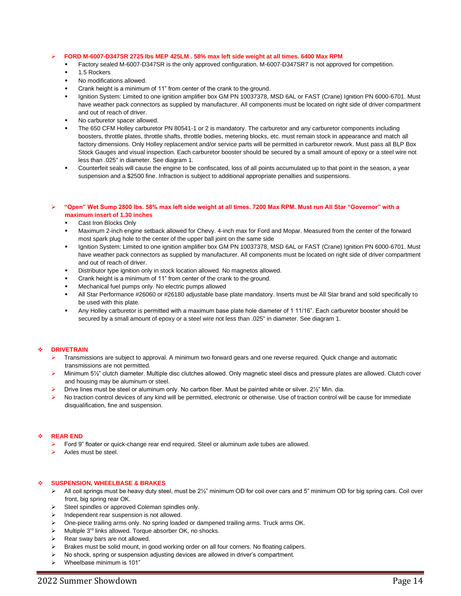### ➢ **FORD M-6007-D347SR 2725 lbs MEP 425LM . 58% max left side weight at all times. 6400 Max RPM**

- Factory sealed M-6007-D347SR is the only approved configuration. M-6007-D347SR7 is not approved for competition.
- 1.5 Rockers
- No modifications allowed.
- Crank height is a minimum of 11" from center of the crank to the ground.
- Ignition System: Limited to one ignition amplifier box GM PN 10037378, MSD 6AL or FAST (Crane) Ignition PN 6000-6701. Must have weather pack connectors as supplied by manufacturer. All components must be located on right side of driver compartment and out of reach of driver.
- No carburetor spacer allowed.
- The 650 CFM Holley carburetor PN 80541-1 or 2 is mandatory. The carburetor and any carburetor components including boosters, throttle plates, throttle shafts, throttle bodies, metering blocks, etc. must remain stock in appearance and match all factory dimensions. Only Holley replacement and/or service parts will be permitted in carburetor rework. Must pass all BLP Box Stock Gauges and visual inspection. Each carburetor booster should be secured by a small amount of epoxy or a steel wire not less than .025" in diameter. See diagram 1.
- Counterfeit seals will cause the engine to be confiscated, loss of all points accumulated up to that point in the season, a year suspension and a \$2500 fine. Infraction is subject to additional appropriate penalties and suspensions.
- ➢ **"Open" Wet Sump 2800 lbs. 58% max left side weight at all times. 7200 Max RPM. Must run All Star "Governor" with a maximum insert of 1.30 inches**
	- Cast Iron Blocks Only
	- Maximum 2-inch engine setback allowed for Chevy. 4-inch max for Ford and Mopar. Measured from the center of the forward most spark plug hole to the center of the upper ball joint on the same side
	- Ignition System: Limited to one ignition amplifier box GM PN 10037378, MSD 6AL or FAST (Crane) Ignition PN 6000-6701. Must have weather pack connectors as supplied by manufacturer. All components must be located on right side of driver compartment and out of reach of driver.
	- Distributor type ignition only in stock location allowed. No magnetos allowed.
	- Crank height is a minimum of 11" from center of the crank to the ground.
	- Mechanical fuel pumps only. No electric pumps allowed
	- All Star Performance #26060 or #26180 adjustable base plate mandatory. Inserts must be All Star brand and sold specifically to be used with this plate.
	- Any Holley carburetor is permitted with a maximum base plate hole diameter of 1 11/16". Each carburetor booster should be secured by a small amount of epoxy or a steel wire not less than .025" in diameter. See diagram 1.

#### ❖ **DRIVETRAIN**

- ➢ Transmissions are subject to approval. A minimum two forward gears and one reverse required. Quick change and automatic transmissions are not permitted.
- ➢ Minimum 5½" clutch diameter. Multiple disc clutches allowed. Only magnetic steel discs and pressure plates are allowed. Clutch cover and housing may be aluminum or steel.
- ➢ Drive lines must be steel or aluminum only. No carbon fiber. Must be painted white or silver. 2½" Min. dia.
- No traction control devices of any kind will be permitted, electronic or otherwise. Use of traction control will be cause for immediate disqualification, fine and suspension.

### ❖ **REAR END**

- ➢ Ford 9" floater or quick-change rear end required. Steel or aluminum axle tubes are allowed.
- ➢ Axles must be steel.

### ❖ **SUSPENSION, WHEELBASE & BRAKES**

- $\triangleright$  All coil springs must be heavy duty steel, must be 2 $\frac{1}{2}$ " minimum OD for coil over cars and 5" minimum OD for big spring cars. Coil over front, big spring rear OK.
- ➢ Steel spindles or approved Coleman spindles only.
- ➢ Independent rear suspension is not allowed.
- ➢ One-piece trailing arms only. No spring loaded or dampened trailing arms. Truck arms OK.
- Multiple 3<sup>rd</sup> links allowed. Torque absorber OK, no shocks.
- Rear sway bars are not allowed.
- ➢ Brakes must be solid mount, in good working order on all four corners. No floating calipers.
- ➢ No shock, spring or suspension adjusting devices are allowed in driver's compartment.
- ➢ Wheelbase minimum is 101"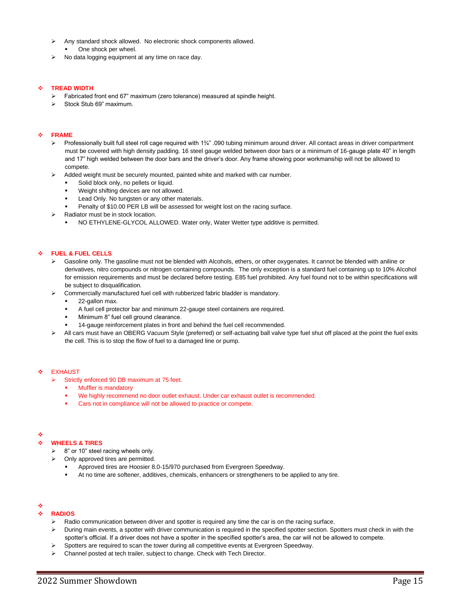- ➢ Any standard shock allowed. No electronic shock components allowed. One shock per wheel.
- ➢ No data logging equipment at any time on race day.

## ❖ **TREAD WIDTH**

- ➢ Fabricated front end 67" maximum (zero tolerance) measured at spindle height.
- Stock Stub 69" maximum.

### ❖ **FRAME**

- Professionally built full steel roll cage required with 1¾" .090 tubing minimum around driver. All contact areas in driver compartment must be covered with high density padding. 16 steel gauge welded between door bars or a minimum of 16-gauge plate 40" in length and 17" high welded between the door bars and the driver's door. Any frame showing poor workmanship will not be allowed to compete.
- ➢ Added weight must be securely mounted, painted white and marked with car number.
	- Solid block only, no pellets or liquid.
	- Weight shifting devices are not allowed.
	- Lead Only. No tungsten or any other materials.
	- Penalty of \$10.00 PER LB will be assessed for weight lost on the racing surface.
- ➢ Radiator must be in stock location.
	- NO ETHYLENE-GLYCOL ALLOWED. Water only, Water Wetter type additive is permitted.

## ❖ **FUEL & FUEL CELLS**

- ➢ Gasoline only. The gasoline must not be blended with Alcohols, ethers, or other oxygenates. It cannot be blended with aniline or derivatives, nitro compounds or nitrogen containing compounds. The only exception is a standard fuel containing up to 10% Alcohol for emission requirements and must be declared before testing. E85 fuel prohibited. Any fuel found not to be within specifications will be subject to disqualification.
- ➢ Commercially manufactured fuel cell with rubberized fabric bladder is mandatory.
	- 22-gallon max.
	- A fuel cell protector bar and minimum 22-gauge steel containers are required.
	- Minimum 8" fuel cell ground clearance.
	- 14-gauge reinforcement plates in front and behind the fuel cell recommended.
- ➢ All cars must have an OBERG Vacuum Style (preferred) or self-actuating ball valve type fuel shut off placed at the point the fuel exits the cell. This is to stop the flow of fuel to a damaged line or pump.

### **EXHAUST**

- ➢ Strictly enforced 90 DB maximum at 75 feet.
	- **Muffler is mandatory**
	- We highly recommend no door outlet exhaust. Under car exhaust outlet is recommended.
	- Cars not in compliance will not be allowed to practice or compete.

#### ❖

### ❖ **WHEELS & TIRES**

- ➢ 8" or 10" steel racing wheels only.
- ➢ Only approved tires are permitted.
	- Approved tires are Hoosier 8.0-15/970 purchased from Evergreen Speedway.
	- At no time are softener, additives, chemicals, enhancers or strengtheners to be applied to any tire.

## ❖

## ❖ **RADIOS**

- ➢ Radio communication between driver and spotter is required any time the car is on the racing surface.
- ➢ During main events, a spotter with driver communication is required in the specified spotter section. Spotters must check in with the spotter's official. If a driver does not have a spotter in the specified spotter's area, the car will not be allowed to compete.
- Spotters are required to scan the tower during all competitive events at Evergreen Speedway.
- ➢ Channel posted at tech trailer, subject to change. Check with Tech Director.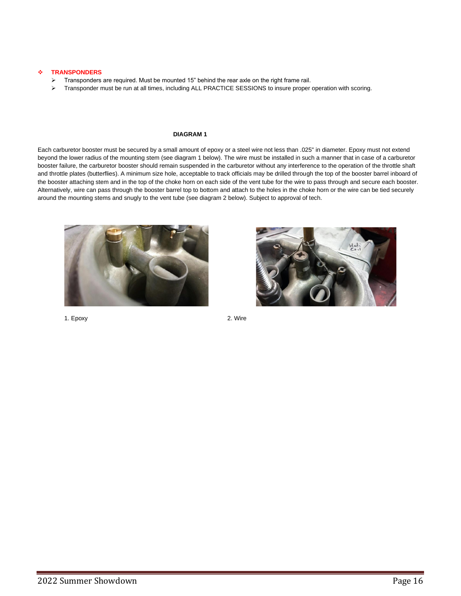## ❖ **TRANSPONDERS**

- ➢ Transponders are required. Must be mounted 15" behind the rear axle on the right frame rail.
- > Transponder must be run at all times, including ALL PRACTICE SESSIONS to insure proper operation with scoring.

### **DIAGRAM 1**

Each carburetor booster must be secured by a small amount of epoxy or a steel wire not less than .025" in diameter. Epoxy must not extend beyond the lower radius of the mounting stem (see diagram 1 below). The wire must be installed in such a manner that in case of a carburetor booster failure, the carburetor booster should remain suspended in the carburetor without any interference to the operation of the throttle shaft and throttle plates (butterflies). A minimum size hole, acceptable to track officials may be drilled through the top of the booster barrel inboard of the booster attaching stem and in the top of the choke horn on each side of the vent tube for the wire to pass through and secure each booster. Alternatively, wire can pass through the booster barrel top to bottom and attach to the holes in the choke horn or the wire can be tied securely around the mounting stems and snugly to the vent tube (see diagram 2 below). Subject to approval of tech.





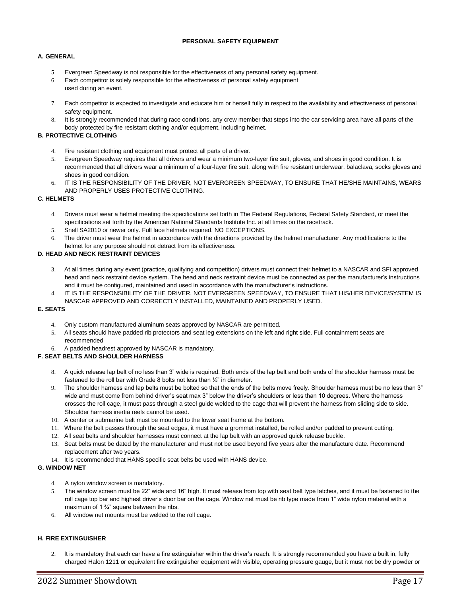## **PERSONAL SAFETY EQUIPMENT**

## **A. GENERAL**

- 5. Evergreen Speedway is not responsible for the effectiveness of any personal safety equipment.
- 6. Each competitor is solely responsible for the effectiveness of personal safety equipment used during an event.
- 7. Each competitor is expected to investigate and educate him or herself fully in respect to the availability and effectiveness of personal safety equipment.
- 8. It is strongly recommended that during race conditions, any crew member that steps into the car servicing area have all parts of the body protected by fire resistant clothing and/or equipment, including helmet.

## **B. PROTECTIVE CLOTHING**

- 4. Fire resistant clothing and equipment must protect all parts of a driver.
- 5. Evergreen Speedway requires that all drivers and wear a minimum two-layer fire suit, gloves, and shoes in good condition. It is recommended that all drivers wear a minimum of a four-layer fire suit, along with fire resistant underwear, balaclava, socks gloves and shoes in good condition.
- 6. IT IS THE RESPONSIBILITY OF THE DRIVER, NOT EVERGREEN SPEEDWAY, TO ENSURE THAT HE/SHE MAINTAINS, WEARS AND PROPERLY USES PROTECTIVE CLOTHING.

## **C. HELMETS**

- 4. Drivers must wear a helmet meeting the specifications set forth in The Federal Regulations, Federal Safety Standard, or meet the specifications set forth by the American National Standards Institute Inc. at all times on the racetrack.
- 5. Snell SA2010 or newer only. Full face helmets required. NO EXCEPTIONS.
- 6. The driver must wear the helmet in accordance with the directions provided by the helmet manufacturer. Any modifications to the helmet for any purpose should not detract from its effectiveness.

## **D. HEAD AND NECK RESTRAINT DEVICES**

- 3. At all times during any event (practice, qualifying and competition) drivers must connect their helmet to a NASCAR and SFI approved head and neck restraint device system. The head and neck restraint device must be connected as per the manufacturer's instructions and it must be configured, maintained and used in accordance with the manufacturer's instructions.
- 4. IT IS THE RESPONSIBILITY OF THE DRIVER, NOT EVERGREEN SPEEDWAY, TO ENSURE THAT HIS/HER DEVICE/SYSTEM IS NASCAR APPROVED AND CORRECTLY INSTALLED, MAINTAINED AND PROPERLY USED.

## **E. SEATS**

- 4. Only custom manufactured aluminum seats approved by NASCAR are permitted.
- 5. All seats should have padded rib protectors and seat leg extensions on the left and right side. Full containment seats are recommended
- 6. A padded headrest approved by NASCAR is mandatory.

## **F. SEAT BELTS AND SHOULDER HARNESS**

- 8. A quick release lap belt of no less than 3" wide is required. Both ends of the lap belt and both ends of the shoulder harness must be fastened to the roll bar with Grade 8 bolts not less than ½" in diameter.
- 9. The shoulder harness and lap belts must be bolted so that the ends of the belts move freely. Shoulder harness must be no less than 3" wide and must come from behind driver's seat max 3" below the driver's shoulders or less than 10 degrees. Where the harness crosses the roll cage, it must pass through a steel guide welded to the cage that will prevent the harness from sliding side to side. Shoulder harness inertia reels cannot be used.
- 10. A center or submarine belt must be mounted to the lower seat frame at the bottom.
- 11. Where the belt passes through the seat edges, it must have a grommet installed, be rolled and/or padded to prevent cutting.
- 12. All seat belts and shoulder harnesses must connect at the lap belt with an approved quick release buckle.
- 13. Seat belts must be dated by the manufacturer and must not be used beyond five years after the manufacture date. Recommend replacement after two years.
- 14. It is recommended that HANS specific seat belts be used with HANS device.

## **G. WINDOW NET**

- 4. A nylon window screen is mandatory.
- 5. The window screen must be 22" wide and 16" high. It must release from top with seat belt type latches, and it must be fastened to the roll cage top bar and highest driver's door bar on the cage. Window net must be rib type made from 1" wide nylon material with a maximum of 1 <sup>3</sup>/<sub>4</sub>" square between the ribs.
- 6. All window net mounts must be welded to the roll cage.

## **H. FIRE EXTINGUISHER**

2. It is mandatory that each car have a fire extinguisher within the driver's reach. It is strongly recommended you have a built in, fully charged Halon 1211 or equivalent fire extinguisher equipment with visible, operating pressure gauge, but it must not be dry powder or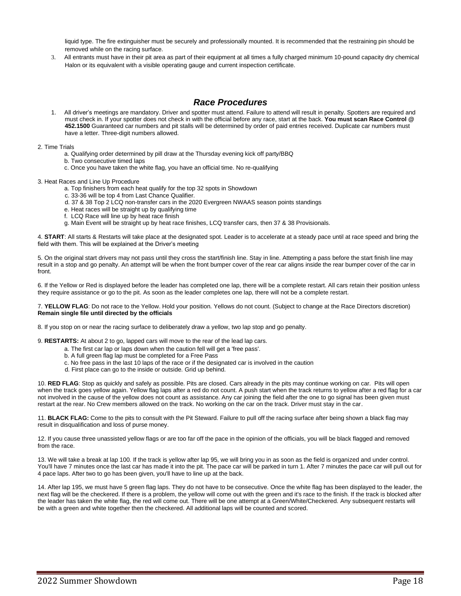liquid type. The fire extinguisher must be securely and professionally mounted. It is recommended that the restraining pin should be removed while on the racing surface.

3. All entrants must have in their pit area as part of their equipment at all times a fully charged minimum 10-pound capacity dry chemical Halon or its equivalent with a visible operating gauge and current inspection certificate.

## *Race Procedures*

- 1. All driver's meetings are mandatory. Driver and spotter must attend. Failure to attend will result in penalty. Spotters are required and must check in. If your spotter does not check in with the official before any race, start at the back. **You must scan Race Control @ 452.1500** Guaranteed car numbers and pit stalls will be determined by order of paid entries received. Duplicate car numbers must have a letter. Three-digit numbers allowed.
- 2. Time Trials
	- a. Qualifying order determined by pill draw at the Thursday evening kick off party/BBQ
	- b. Two consecutive timed laps
	- c. Once you have taken the white flag, you have an official time. No re-qualifying
- 3. Heat Races and Line Up Procedure
	- a. Top finishers from each heat qualify for the top 32 spots in Showdown
	- c. 33-36 will be top 4 from Last Chance Qualifier.
	- d. 37 & 38 Top 2 LCQ non-transfer cars in the 2020 Evergreen NWAAS season points standings
	- e. Heat races will be straight up by qualifying time
	- f. LCQ Race will line up by heat race finish
	- g. Main Event will be straight up by heat race finishes, LCQ transfer cars, then 37 & 38 Provisionals.

4. **START**: All starts & Restarts will take place at the designated spot. Leader is to accelerate at a steady pace until at race speed and bring the field with them. This will be explained at the Driver's meeting

5. On the original start drivers may not pass until they cross the start/finish line. Stay in line. Attempting a pass before the start finish line may result in a stop and go penalty. An attempt will be when the front bumper cover of the rear car aligns inside the rear bumper cover of the car in front.

6. If the Yellow or Red is displayed before the leader has completed one lap, there will be a complete restart. All cars retain their position unless they require assistance or go to the pit. As soon as the leader completes one lap, there will not be a complete restart.

7. **YELLOW FLAG**: Do not race to the Yellow. Hold your position. Yellows do not count. (Subject to change at the Race Directors discretion) **Remain single file until directed by the officials**

8. If you stop on or near the racing surface to deliberately draw a yellow, two lap stop and go penalty.

9. **RESTARTS:** At about 2 to go, lapped cars will move to the rear of the lead lap cars.

- a. The first car lap or laps down when the caution fell will get a 'free pass'.
- b. A full green flag lap must be completed for a Free Pass
- c. No free pass in the last 10 laps of the race or if the designated car is involved in the caution
- d. First place can go to the inside or outside. Grid up behind.

10. **RED FLAG**: Stop as quickly and safely as possible. Pits are closed. Cars already in the pits may continue working on car. Pits will open when the track goes yellow again. Yellow flag laps after a red do not count. A push start when the track returns to yellow after a red flag for a car not involved in the cause of the yellow does not count as assistance. Any car joining the field after the one to go signal has been given must restart at the rear. No Crew members allowed on the track. No working on the car on the track. Driver must stay in the car.

11. **BLACK FLAG:** Come to the pits to consult with the Pit Steward. Failure to pull off the racing surface after being shown a black flag may result in disqualification and loss of purse money.

12. If you cause three unassisted yellow flags or are too far off the pace in the opinion of the officials, you will be black flagged and removed from the race.

13. We will take a break at lap 100. If the track is yellow after lap 95, we will bring you in as soon as the field is organized and under control. You'll have 7 minutes once the last car has made it into the pit. The pace car will be parked in turn 1. After 7 minutes the pace car will pull out for 4 pace laps. After two to go has been given, you'll have to line up at the back.

14. After lap 195, we must have 5 green flag laps. They do not have to be consecutive. Once the white flag has been displayed to the leader, the next flag will be the checkered. If there is a problem, the yellow will come out with the green and it's race to the finish. If the track is blocked after the leader has taken the white flag, the red will come out. There will be one attempt at a Green/White/Checkered. Any subsequent restarts will be with a green and white together then the checkered. All additional laps will be counted and scored.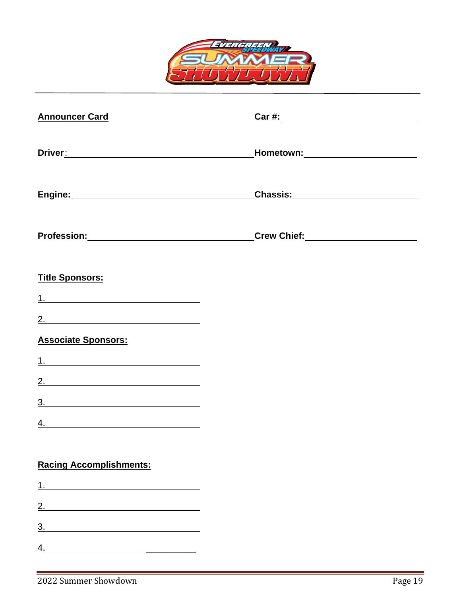

| <b>Announcer Card</b>                                                                                                                                                                                                               |                                        |
|-------------------------------------------------------------------------------------------------------------------------------------------------------------------------------------------------------------------------------------|----------------------------------------|
| Driver <u>:</u> Private and Private and Private and Private and Private and Private and Private and Private and Private and Private and Private and Private and Private and Private and Private and Private and Private and Private | _Hometown:_________________________    |
|                                                                                                                                                                                                                                     | _Chassis:_____________________________ |
|                                                                                                                                                                                                                                     | Profession: Crew Chief: Crew Chief:    |
| <b>Title Sponsors:</b>                                                                                                                                                                                                              |                                        |
|                                                                                                                                                                                                                                     |                                        |
| 2.                                                                                                                                                                                                                                  |                                        |
| <b>Associate Sponsors:</b>                                                                                                                                                                                                          |                                        |
|                                                                                                                                                                                                                                     |                                        |
| 2.                                                                                                                                                                                                                                  |                                        |
|                                                                                                                                                                                                                                     |                                        |
|                                                                                                                                                                                                                                     |                                        |
| <b>Racing Accomplishments:</b>                                                                                                                                                                                                      |                                        |
|                                                                                                                                                                                                                                     |                                        |
| 2.                                                                                                                                                                                                                                  |                                        |
|                                                                                                                                                                                                                                     |                                        |
|                                                                                                                                                                                                                                     |                                        |